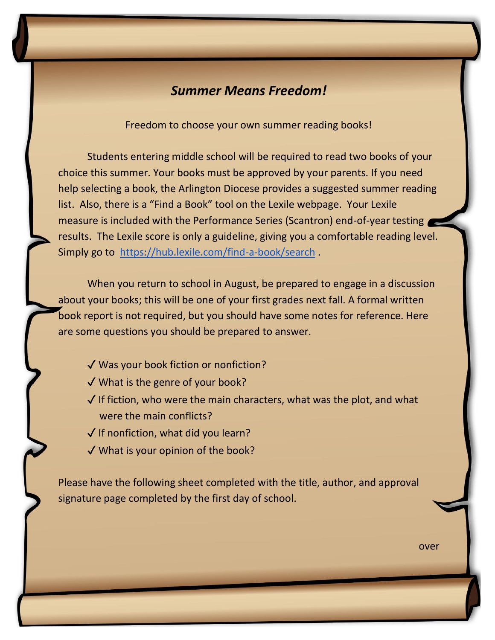## *Summer Means Freedom!*

Freedom to choose your own summer reading books!

Students entering middle school will be required to read two books of your choice this summer. Your books must be approved by your parents. If you need help selecting a book, the Arlington Diocese provides a suggested summer reading list. Also, there is a "Find a Book" tool on the Lexile webpage. Your Lexile measure is included with the Performance Series (Scantron) end-of-year testing results. The Lexile score is only a guideline, giving you a comfortable reading level. Simply go to <https://hub.lexile.com/find-a-book/search> .

When you return to school in August, be prepared to engage in a discussion about your books; this will be one of your first grades next fall. A formal written book report is not required, but you should have some notes for reference. Here are some questions you should be prepared to answer.

- ✓ Was your book fiction or nonfiction?
- ✓ What is the genre of your book?
- $\sqrt{ }$  If fiction, who were the main characters, what was the plot, and what were the main conflicts?
- $\sqrt{}$  If nonfiction, what did you learn?
- ✓ What is your opinion of the book?

Please have the following sheet completed with the title, author, and approval signature page completed by the first day of school.

over